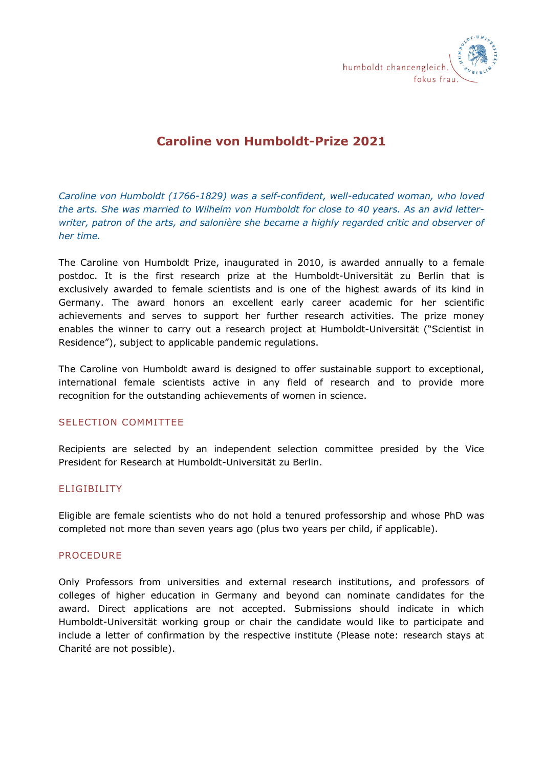

# **Caroline von Humboldt-Prize 2021**

*Caroline von Humboldt (1766-1829) was a self-confident, well-educated woman, who loved the arts. She was married to Wilhelm von Humboldt for close to 40 years. As an avid letterwriter, patron of the arts, and salonière she became a highly regarded critic and observer of her time.*

The Caroline von Humboldt Prize, inaugurated in 2010, is awarded annually to a female postdoc. It is the first research prize at the Humboldt-Universität zu Berlin that is exclusively awarded to female scientists and is one of the highest awards of its kind in Germany. The award honors an excellent early career academic for her scientific achievements and serves to support her further research activities. The prize money enables the winner to carry out a research project at Humboldt-Universität ("Scientist in Residence"), subject to applicable pandemic regulations.

The Caroline von Humboldt award is designed to offer sustainable support to exceptional, international female scientists active in any field of research and to provide more recognition for the outstanding achievements of women in science.

### SELECTION COMMITTEE

Recipients are selected by an independent selection committee presided by the Vice President for Research at Humboldt-Universität zu Berlin.

### ELIGIBILITY

Eligible are female scientists who do not hold a tenured professorship and whose PhD was completed not more than seven years ago (plus two years per child, if applicable).

### PROCEDURE

Only Professors from universities and external research institutions, and professors of colleges of higher education in Germany and beyond can nominate candidates for the award. Direct applications are not accepted. Submissions should indicate in which Humboldt-Universität working group or chair the candidate would like to participate and include a letter of confirmation by the respective institute (Please note: research stays at Charité are not possible).